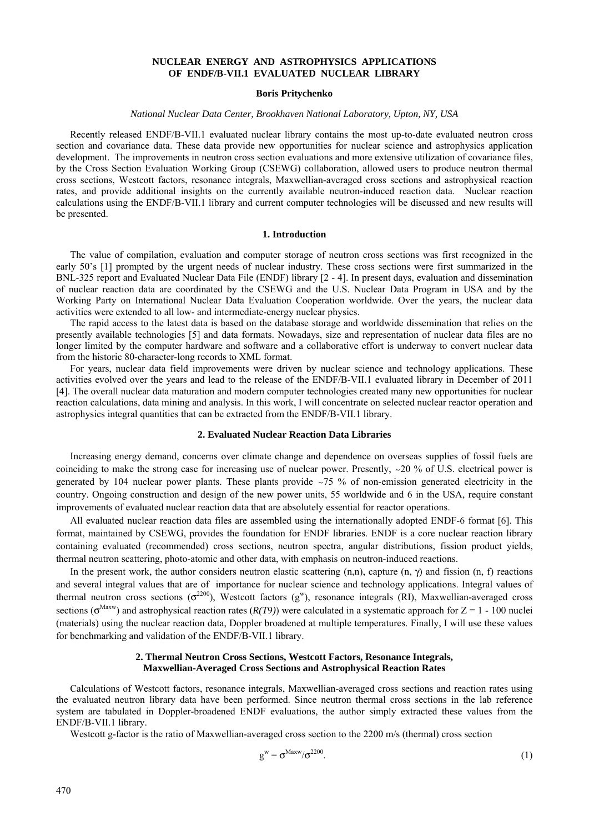# **NUCLEAR ENERGY AND ASTROPHYSICS APPLICATIONS OF ENDF/B-VII.1 EVALUATED NUCLEAR LIBRARY**

## **Boris Pritychenko**

# *National Nuclear Data Center, Brookhaven National Laboratory, Upton, NY, USA*

Recently released ENDF/B-VII.1 evaluated nuclear library contains the most up-to-date evaluated neutron cross section and covariance data. These data provide new opportunities for nuclear science and astrophysics application development. The improvements in neutron cross section evaluations and more extensive utilization of covariance files, by the Cross Section Evaluation Working Group (CSEWG) collaboration, allowed users to produce neutron thermal cross sections, Westcott factors, resonance integrals, Maxwellian-averaged cross sections and astrophysical reaction rates, and provide additional insights on the currently available neutron-induced reaction data. Nuclear reaction calculations using the ENDF/B-VII.1 library and current computer technologies will be discussed and new results will be presented.

#### **1. Introduction**

The value of compilation, evaluation and computer storage of neutron cross sections was first recognized in the early 50's [1] prompted by the urgent needs of nuclear industry. These cross sections were first summarized in the BNL-325 report and Evaluated Nuclear Data File (ENDF) library [2 - 4]. In present days, evaluation and dissemination of nuclear reaction data are coordinated by the CSEWG and the U.S. Nuclear Data Program in USA and by the Working Party on International Nuclear Data Evaluation Cooperation worldwide. Over the years, the nuclear data activities were extended to all low- and intermediate-energy nuclear physics.

The rapid access to the latest data is based on the database storage and worldwide dissemination that relies on the presently available technologies [5] and data formats. Nowadays, size and representation of nuclear data files are no longer limited by the computer hardware and software and a collaborative effort is underway to convert nuclear data from the historic 80-character-long records to XML format.

For years, nuclear data field improvements were driven by nuclear science and technology applications. These activities evolved over the years and lead to the release of the ENDF/B-VII.1 evaluated library in December of 2011 [4]. The overall nuclear data maturation and modern computer technologies created many new opportunities for nuclear reaction calculations, data mining and analysis. In this work, I will concentrate on selected nuclear reactor operation and astrophysics integral quantities that can be extracted from the ENDF/B-VII.1 library.

### **2. Evaluated Nuclear Reaction Data Libraries**

Increasing energy demand, concerns over climate change and dependence on overseas supplies of fossil fuels are coinciding to make the strong case for increasing use of nuclear power. Presently, ~20 % of U.S. electrical power is generated by 104 nuclear power plants. These plants provide ~75 % of non-emission generated electricity in the country. Ongoing construction and design of the new power units, 55 worldwide and 6 in the USA, require constant improvements of evaluated nuclear reaction data that are absolutely essential for reactor operations.

All evaluated nuclear reaction data files are assembled using the internationally adopted ENDF-6 format [6]. This format, maintained by CSEWG, provides the foundation for ENDF libraries. ENDF is a core nuclear reaction library containing evaluated (recommended) cross sections, neutron spectra, angular distributions, fission product yields, thermal neutron scattering, photo-atomic and other data, with emphasis on neutron-induced reactions.

In the present work, the author considers neutron elastic scattering  $(n,n)$ , capture  $(n, \gamma)$  and fission  $(n, f)$  reactions and several integral values that are of importance for nuclear science and technology applications. Integral values of thermal neutron cross sections ( $\sigma^{2200}$ ), Westcott factors (g<sup>w</sup>), resonance integrals (RI), Maxwellian-averaged cross sections ( $\sigma^{\text{Maxw}}$ ) and astrophysical reaction rates ( $R(T9)$ ) were calculated in a systematic approach for  $Z = 1 - 100$  nuclei (materials) using the nuclear reaction data, Doppler broadened at multiple temperatures. Finally, I will use these values for benchmarking and validation of the ENDF/B-VII.1 library.

### **2. Thermal Neutron Cross Sections, Westcott Factors, Resonance Integrals, Maxwellian-Averaged Cross Sections and Astrophysical Reaction Rates**

Calculations of Westcott factors, resonance integrals, Maxwellian-averaged cross sections and reaction rates using the evaluated neutron library data have been performed. Since neutron thermal cross sections in the lab reference system are tabulated in Doppler-broadened ENDF evaluations, the author simply extracted these values from the ENDF/B-VII.1 library.

Westcott g-factor is the ratio of Maxwellian-averaged cross section to the 2200 m/s (thermal) cross section

$$
g^{\rm w} = \sigma^{\rm Maxwell} \sigma^{\rm 2200}.
$$
 (1)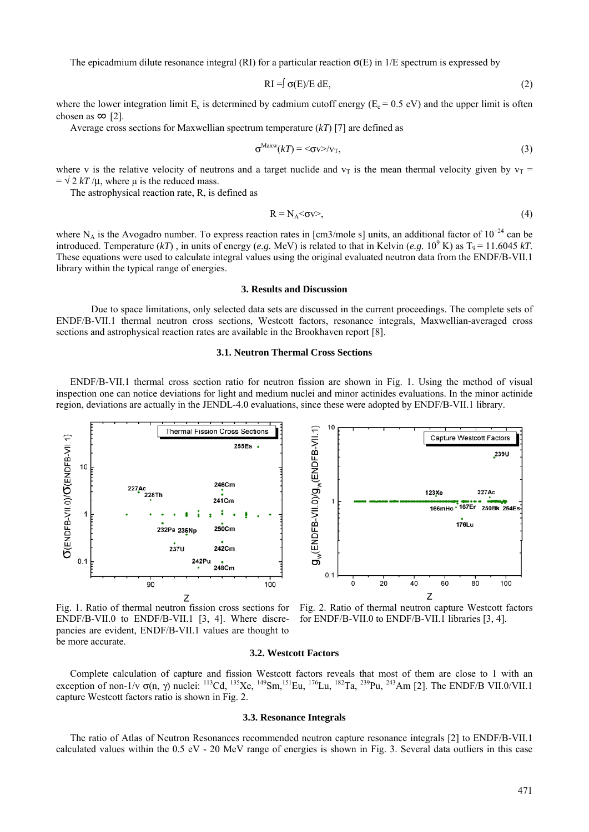The epicadmium dilute resonance integral (RI) for a particular reaction  $\sigma(E)$  in 1/E spectrum is expressed by

$$
RI = f \sigma(E)/E dE, \qquad (2)
$$

where the lower integration limit  $E_c$  is determined by cadmium cutoff energy ( $E_c = 0.5$  eV) and the upper limit is often chosen as  $\infty$  [2].

Average cross sections for Maxwellian spectrum temperature (*kT*) [7] are defined as

$$
\sigma^{\text{Maxw}}(k) = \langle \sigma \mathbf{v} \rangle / \mathbf{v}_{\text{T}},\tag{3}
$$

where v is the relative velocity of neutrons and a target nuclide and  $v_T$  is the mean thermal velocity given by  $v_T$  =  $= \sqrt{2 kT / \mu}$ , where u is the reduced mass.

The astrophysical reaction rate, R, is defined as

$$
R = N_A < \sigma v >,
$$
\n<sup>(4)</sup>

where N<sub>A</sub> is the Avogadro number. To express reaction rates in [cm3/mole s] units, an additional factor of  $10^{-24}$  can be introduced. Temperature  $(kT)$ , in units of energy (*e.g.* MeV) is related to that in Kelvin (*e.g.* 10<sup>9</sup> K) as  $T_9 = 11.6045 kT$ . These equations were used to calculate integral values using the original evaluated neutron data from the ENDF/B-VII.1 library within the typical range of energies.

## **3. Results and Discussion**

Due to space limitations, only selected data sets are discussed in the current proceedings. The complete sets of ENDF/B-VII.1 thermal neutron cross sections, Westcott factors, resonance integrals, Maxwellian-averaged cross sections and astrophysical reaction rates are available in the Brookhaven report [8].

# **3.1. Neutron Thermal Cross Sections**

ENDF/B-VII.1 thermal cross section ratio for neutron fission are shown in Fig. 1. Using the method of visual inspection one can notice deviations for light and medium nuclei and minor actinides evaluations. In the minor actinide region, deviations are actually in the JENDL-4.0 evaluations, since these were adopted by ENDF/B-VII.1 library.



Fig. 1. Ratio of thermal neutron fission cross sections for ENDF/B-VII.0 to ENDF/B-VII.1 [3, 4]. Where discrepancies are evident, ENDF/B-VII.1 values are thought to be more accurate.

Fig. 2. Ratio of thermal neutron capture Westcott factors for ENDF/B-VII.0 to ENDF/B-VII.1 libraries [3, 4].

### **3.2. Westcott Factors**

Complete calculation of capture and fission Westcott factors reveals that most of them are close to 1 with an exception of non-1/v  $\sigma$ (n,  $\gamma$ ) nuclei: <sup>113</sup>Cd, <sup>135</sup>Xe, <sup>149</sup>Sm,<sup>151</sup>Eu, <sup>176</sup>Lu, <sup>182</sup>Ta, <sup>239</sup>Pu, <sup>243</sup>Am [2]. The ENDF/B VII.0/VII.1 capture Westcott factors ratio is shown in Fig. 2.

### **3.3. Resonance Integrals**

The ratio of Atlas of Neutron Resonances recommended neutron capture resonance integrals [2] to ENDF/B-VII.1 calculated values within the 0.5 eV - 20 MeV range of energies is shown in Fig. 3. Several data outliers in this case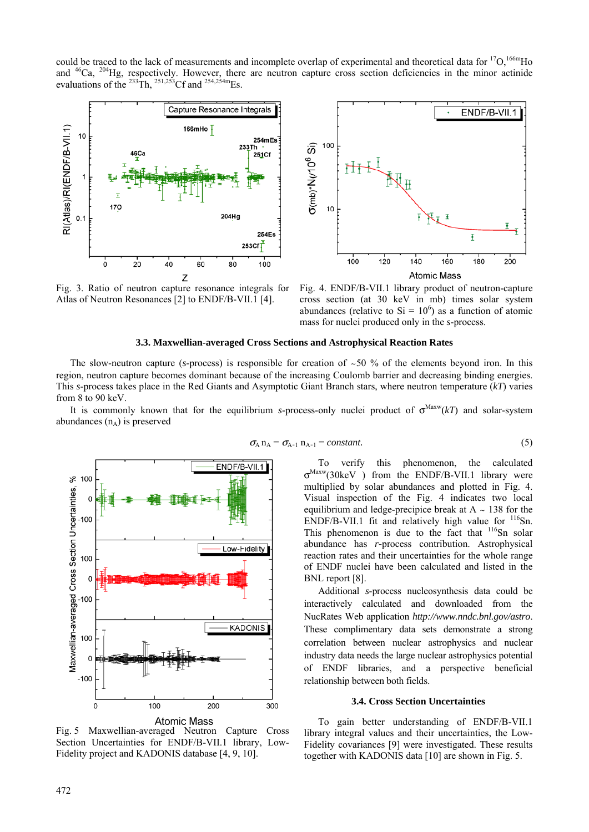could be traced to the lack of measurements and incomplete overlap of experimental and theoretical data for  ${}^{17}O$ ,  ${}^{166m}Ho$ and  $46$ Ca,  $204$ Hg, respectively. However, there are neutron capture cross section deficiencies in the minor actinide evaluations of the <sup>233</sup>Th, <sup>251,253</sup>Cf and <sup>254,254m</sup>Es.



Fig. 3. Ratio of neutron capture resonance integrals for Atlas of Neutron Resonances [2] to ENDF/B-VII.1 [4].



Fig. 4. ENDF/B-VII.1 library product of neutron-capture cross section (at 30 keV in mb) times solar system abundances (relative to  $Si = 10^6$ ) as a function of atomic mass for nuclei produced only in the *s*-process.

#### **3.3. Maxwellian-averaged Cross Sections and Astrophysical Reaction Rates**

The slow-neutron capture ( $s$ -process) is responsible for creation of  $\sim$ 50 % of the elements beyond iron. In this region, neutron capture becomes dominant because of the increasing Coulomb barrier and decreasing binding energies. This *s*-process takes place in the Red Giants and Asymptotic Giant Branch stars, where neutron temperature (*kT*) varies from 8 to 90 keV.

It is commonly known that for the equilibrium *s*-process-only nuclei product of  $\sigma^{Maxw}(kT)$  and solar-system abundances  $(n_A)$  is preserved



 $\sigma_A n_A = \sigma_{A-1} n_{A-1} = constant.$  (5)

To verify this phenomenon, the calculated σMaxw(30keV ) from the ENDF/B-VII.1 library were multiplied by solar abundances and plotted in Fig. 4. Visual inspection of the Fig. 4 indicates two local equilibrium and ledge-precipice break at  $A \sim 138$  for the ENDF/B-VII.1 fit and relatively high value for  $116$ Sn. This phenomenon is due to the fact that  $116$ Sn solar abundance has *r-*process contribution. Astrophysical reaction rates and their uncertainties for the whole range of ENDF nuclei have been calculated and listed in the BNL report [8].

Additional *s*-process nucleosynthesis data could be interactively calculated and downloaded from the NucRates Web application *http://www.nndc.bnl.gov/astro*. These complimentary data sets demonstrate a strong correlation between nuclear astrophysics and nuclear industry data needs the large nuclear astrophysics potential of ENDF libraries, and a perspective beneficial relationship between both fields.

#### **3.4. Cross Section Uncertainties**

To gain better understanding of ENDF/B-VII.1 library integral values and their uncertainties, the Low-Fidelity covariances [9] were investigated. These results together with KADONIS data [10] are shown in Fig. 5.

Fig. 5 Maxwellian-averaged Neutron Capture Cross Section Uncertainties for ENDF/B-VII.1 library, Low-Fidelity project and KADONIS database [4, 9, 10].